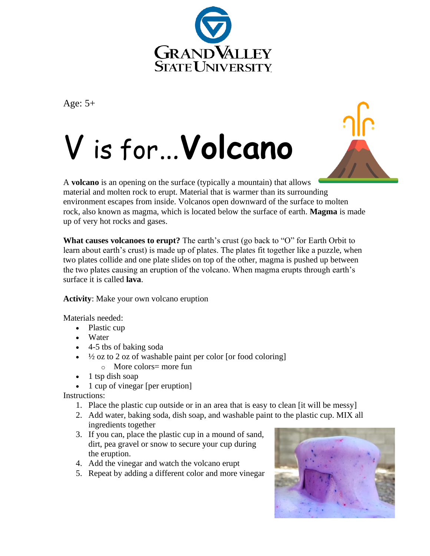

Age: 5+





A **volcano** is an opening on the surface (typically a mountain) that allows material and molten rock to erupt. Material that is warmer than its surrounding environment escapes from inside. Volcanos open downward of the surface to molten rock, also known as magma, which is located below the surface of earth. **Magma** is made up of very hot rocks and gases.

**What causes volcanoes to erupt?** The earth's crust (go back to "O" for Earth Orbit to learn about earth's crust) is made up of plates. The plates fit together like a puzzle, when two plates collide and one plate slides on top of the other, magma is pushed up between the two plates causing an eruption of the volcano. When magma erupts through earth's surface it is called **lava**.

**Activity**: Make your own volcano eruption

Materials needed:

- Plastic cup
- Water
- 4-5 tbs of baking soda
- $\cdot$   $\frac{1}{2}$  oz to 2 oz of washable paint per color [or food coloring]
	- o More colors= more fun
- 1 tsp dish soap
- 1 cup of vinegar [per eruption]

Instructions:

- 1. Place the plastic cup outside or in an area that is easy to clean [it will be messy]
- 2. Add water, baking soda, dish soap, and washable paint to the plastic cup. MIX all ingredients together
- 3. If you can, place the plastic cup in a mound of sand, dirt, pea gravel or snow to secure your cup during the eruption.
- 4. Add the vinegar and watch the volcano erupt
- 5. Repeat by adding a different color and more vinegar